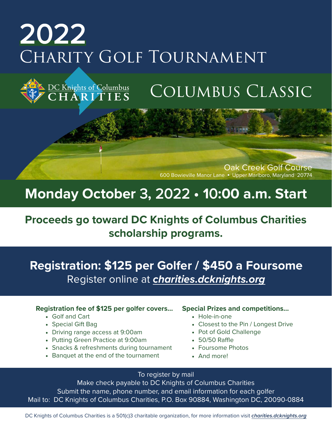# 2022 CHARITY GOLF TOURNAMENT

## Columbus Classic

Oak Creek Golf Course 600 Bowieville Manor Lane ● Upper Marlboro, Maryland 20774

## **Monday October** 3**,** 2022 **• 1**0**:00 a.m. Start**

## **Proceeds go toward DC Knights of Columbus Charities scholarship programs.**

**Registration: \$125 per Golfer / \$450 a Foursome** Register online at *charities.dcknights.org*

#### **Registration fee of \$125 per golfer covers…**

- Golf and Cart
- Special Gift Bag
- Driving range access at 9:00am

DC Knights of Columbus<br>C H A R I T I E S

- Putting Green Practice at 9:00am
- Snacks & refreshments during tournament
- Banquet at the end of the tournament

#### **Special Prizes and competitions…**

- Hole-in-one
- Closest to the Pin / Longest Drive
- Pot of Gold Challenge
- 50/50 Raffle
- Foursome Photos
- And more!

#### To register by mail

Make check payable to DC Knights of Columbus Charities Submit the name, phone number, and email information for each golfer Mail to: DC Knights of Columbus Charities, P.O. Box 90884, Washington DC, 20090-0884

DC Knights of Columbus Charities is a 501(c)3 charitable organization, for more information visit *charities.dcknights.org*